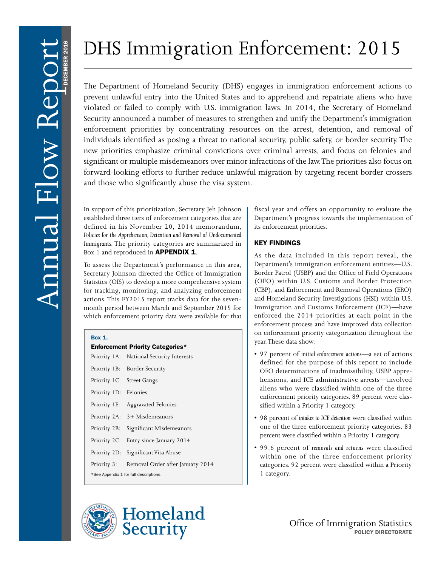DECEMBER 2016

# DHS Immigration Enforcement: 2015

The Department of Homeland Security (DHS) engages in immigration enforcement actions to prevent unlawful entry into the United States and to apprehend and repatriate aliens who have violated or failed to comply with U.S. immigration laws. In 2014, the Secretary of Homeland Security announced a number of measures to strengthen and unify the Department's immigration enforcement priorities by concentrating resources on the arrest, detention, and removal of individuals identified as posing a threat to national security, public safety, or border security. The new priorities emphasize criminal convictions over criminal arrests, and focus on felonies and significant or multiple misdemeanors over minor infractions of the law. The priorities also focus on forward-looking efforts to further reduce unlawful migration by targeting recent border crossers and those who significantly abuse the visa system. The Department of Homeland Security (DHS)<br>prevent unlawful entry into the United States<br>violated or failed to comply with U.S. immig<br>Security amounced a number of measures to state<br>inforcement priorities by concentrating r

established three tiers of enforcement categories that are defined in his November 20, 2014 memorandum, *Policies for the Apprehension, Detention and Removal of Undocumented Immigrants.* The priority categories are summarized in Box 1 and reproduced in **APPENDIX 1.** 

To assess the Department's performance in this area, Secretary Johnson directed the Office of Immigration Statistics (OIS) to develop a more comprehensive system for tracking, monitoring, and analyzing enforcement actions. This FY2015 report tracks data for the sevenmonth period between March and September 2015 for which enforcement priority data were available for that

#### Box 1.

# Enforcement Priority Categories\* Priority 1A: National Security Interests Priority 1B: Border Security Priority 1C: Street Gangs Priority 1D: Felonies Priority 1E: Aggravated Felonies Priority 2A: 3+ Misdemeanors Priority 2B: Significant Misdemeanors Priority 2C: Entry since January 2014 Priority 2D: Significant Visa Abuse Priority 3: Removal Order after January 2014 \*See Appendix 1 for full descriptions.

fiscal year and offers an opportunity to evaluate the Department's progress towards the implementation of its enforcement priorities.

# KEY FINDINGS

As the data included in this report reveal, the Department's immigration enforcement entities—U.S. Border Patrol (USBP) and the Office of Field Operations (OFO) within U.S. Customs and Border Protection (CBP), and Enforcement and Removal Operations (ERO) and Homeland Security Investigations (HSI) within U.S. Immigration and Customs Enforcement (ICE)—have enforced the 2014 priorities at each point in the enforcement process and have improved data collection on enforcement priority categorization throughout the year. These data show:

- 97 percent of *initial enforcement actions*—a set of actions defined for the purpose of this report to include OFO determinations of inadmissibility, USBP apprehensions, and ICE administrative arrests—involved aliens who were classified within one of the three enforcement priority categories. 89 percent were classified within a Priority 1 category.
- 98 percent of *intakes to ICE detention* were classified within one of the three enforcement priority categories. 83 percent were classified within a Priority 1 category.
- 99.6 percent of *removals and returns* were classified within one of the three enforcement priority categories. 92 percent were classified within a Priority 1 category.



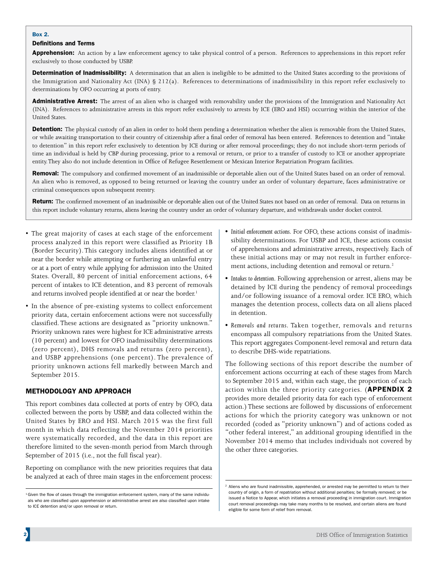#### Box 2.

#### Definitions and Terms

Apprehension: An action by a law enforcement agency to take physical control of a person. References to apprehensions in this report refer exclusively to those conducted by USBP.

Determination of Inadmissibility: A determination that an alien is ineligible to be admitted to the United States according to the provisions of the Immigration and Nationality Act (INA) § 212(a). References to determinations of inadmissibility in this report refer exclusively to determinations by OFO occurring at ports of entry.

Administrative Arrest: The arrest of an alien who is charged with removability under the provisions of the Immigration and Nationality Act (INA). References to administrative arrests in this report refer exclusively to arrests by ICE (ERO and HSI) occurring within the interior of the United States.

Detention: The physical custody of an alien in order to hold them pending a determination whether the alien is removable from the United States, or while awaiting transportation to their country of citizenship after a final order of removal has been entered. References to detention and "intake to detention" in this report refer exclusively to detention by ICE during or after removal proceedings; they do not include short-term periods of time an individual is held by CBP during processing, prior to a removal or return, or prior to a transfer of custody to ICE or another appropriate entity. They also do not include detention in Office of Refugee Resettlement or Mexican Interior Repatriation Program facilities.

Removal: The compulsory and confirmed movement of an inadmissible or deportable alien out of the United States based on an order of removal. An alien who is removed, as opposed to being returned or leaving the country under an order of voluntary departure, faces administrative or criminal consequences upon subsequent reentry.

Return: The confirmed movement of an inadmissible or deportable alien out of the United States not based on an order of removal. Data on returns in this report include voluntary returns, aliens leaving the country under an order of voluntary departure, and withdrawals under docket control.

- The great majority of cases at each stage of the enforcement process analyzed in this report were classified as Priority 1B (Border Security). This category includes aliens identified at or near the border while attempting or furthering an unlawful entry or at a port of entry while applying for admission into the United States. Overall, 80 percent of initial enforcement actions, 64 percent of intakes to ICE detention, and 83 percent of removals and returns involved people identified at or near the border.<sup>1</sup>
- In the absence of pre-existing systems to collect enforcement priority data, certain enforcement actions were not successfully classified. These actions are designated as "priority unknown." Priority unknown rates were highest for ICE administrative arrests (10 percent) and lowest for OFO inadmissibility determinations (zero percent), DHS removals and returns (zero percent), and USBP apprehensions (one percent). The prevalence of priority unknown actions fell markedly between March and September 2015.

# METHODOLOGY AND APPROACH

This report combines data collected at ports of entry by OFO, data collected between the ports by USBP, and data collected within the United States by ERO and HSI. March 2015 was the first full month in which data reflecting the November 2014 priorities were systematically recorded, and the data in this report are therefore limited to the seven-month period from March through September of 2015 (i.e., not the full fiscal year).

Reporting on compliance with the new priorities requires that data be analyzed at each of three main stages in the enforcement process:

- *Initial enforcement actions.* For OFO, these actions consist of inadmissibility determinations. For USBP and ICE, these actions consist of apprehensions and administrative arrests, respectively. Each of these initial actions may or may not result in further enforcement actions, including detention and removal or return.<sup>2</sup>
- *Intakes to detention.* Following apprehension or arrest, aliens may be detained by ICE during the pendency of removal proceedings and/or following issuance of a removal order. ICE ERO, which manages the detention process, collects data on all aliens placed in detention.
- *Removals and returns.* Taken together, removals and returns encompass all compulsory repatriations from the United States. This report aggregates Component-level removal and return data to describe DHS-wide repatriations.

The following sections of this report describe the number of enforcement actions occurring at each of these stages from March to September 2015 and, within each stage, the proportion of each action within the three priority categories. (APPENDIX 2 provides more detailed priority data for each type of enforcement action.) These sections are followed by discussions of enforcement actions for which the priority category was unknown or not recorded (coded as "priority unknown") and of actions coded as "other federal interest," an additional grouping identified in the November 2014 memo that includes individuals not covered by the other three categories.

<sup>&</sup>lt;sup>1</sup>Given the flow of cases through the immigration enforcement system, many of the same individuals who are classified upon apprehension or administrative arrest are also classified upon intake to ICE detention and/or upon removal or return.

 $2$  Aliens who are found inadmissible, apprehended, or arrested may be permitted to return to their country of origin, a form of repatriation without additional penalties; be formally removed; or be issued a Notice to Appear, which initiates a removal proceeding in immigration court. Immigration court removal proceedings may take many months to be resolved, and certain aliens are found eligible for some form of relief from removal.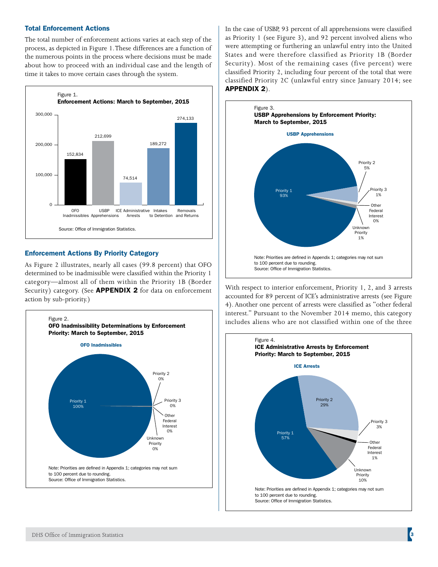#### Total Enforcement Actions

The total number of enforcement actions varies at each step of the process, as depicted in Figure 1. These differences are a function of the numerous points in the process where decisions must be made about how to proceed with an individual case and the length of time it takes to move certain cases through the system.



#### Enforcement Actions By Priority Category

As Figure 2 illustrates, nearly all cases (99.8 percent) that OFO determined to be inadmissible were classified within the Priority 1 category—almost all of them within the Priority 1B (Border Security) category. (See **APPENDIX 2** for data on enforcement action by sub-priority.)



In the case of USBP, 93 percent of all apprehensions were classified as Priority 1 (see Figure 3), and 92 percent involved aliens who were attempting or furthering an unlawful entry into the United States and were therefore classified as Priority 1B (Border Security). Most of the remaining cases (five percent) were classified Priority 2, including four percent of the total that were classified Priority 2C (unlawful entry since January 2014; see APPENDIX 2).



With respect to interior enforcement, Priority 1, 2, and 3 arrests accounted for 89 percent of ICE's administrative arrests (see Figure 4). Another one percent of arrests were classified as "other federal interest." Pursuant to the November 2014 memo, this category includes aliens who are not classified within one of the three

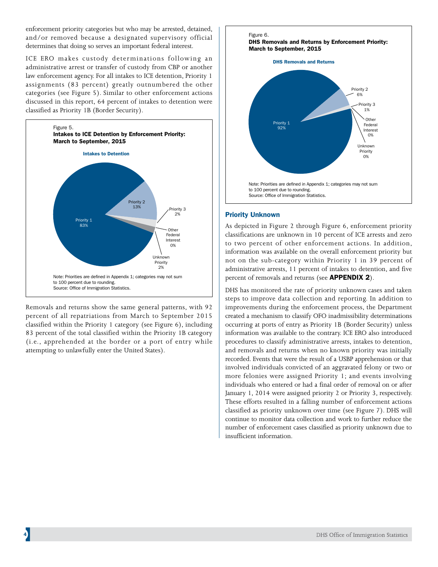enforcement priority categories but who may be arrested, detained, and/or removed because a designated supervisory official determines that doing so serves an important federal interest.

ICE ERO makes custody determinations following an administrative arrest or transfer of custody from CBP or another law enforcement agency. For all intakes to ICE detention, Priority 1 assignments (83 percent) greatly outnumbered the other categories (see Figure 5). Similar to other enforcement actions discussed in this report, 64 percent of intakes to detention were classified as Priority 1B (Border Security).



Removals and returns show the same general patterns, with 92 percent of all repatriations from March to September 2015 classified within the Priority 1 category (see Figure 6), including 83 percent of the total classified within the Priority 1B category (i.e., apprehended at the border or a port of entry while attempting to unlawfully enter the United States).

# Figure 6 **DHS Removals and Returns by Enforcement Priority:** March to September, 2015 **DHS Removals and Returns** Priority 2 6% Priority 3  $1%$ Other Priority 1 Federa Interest 0% Unknown Priority  $\Omega$ % Note: Priorities are defined in Appendix 1; categories may not sum to 100 percent due to rounding. Source: Office of Immigration Statistics.

# Priority Unknown

As depicted in Figure 2 through Figure 6, enforcement priority classifications are unknown in 10 percent of ICE arrests and zero to two percent of other enforcement actions. In addition, information was available on the overall enforcement priority but not on the sub-category within Priority 1 in 39 percent of administrative arrests, 11 percent of intakes to detention, and five percent of removals and returns (see APPENDIX 2).

DHS has monitored the rate of priority unknown cases and taken steps to improve data collection and reporting. In addition to improvements during the enforcement process, the Department created a mechanism to classify OFO inadmissibility determinations occurring at ports of entry as Priority 1B (Border Security) unless information was available to the contrary. ICE ERO also introduced procedures to classify administrative arrests, intakes to detention, and removals and returns when no known priority was initially recorded. Events that were the result of a USBP apprehension or that involved individuals convicted of an aggravated felony or two or more felonies were assigned Priority 1; and events involving individuals who entered or had a final order of removal on or after January 1, 2014 were assigned priority 2 or Priority 3, respectively. These efforts resulted in a falling number of enforcement actions classified as priority unknown over time (see Figure 7). DHS will continue to monitor data collection and work to further reduce the number of enforcement cases classified as priority unknown due to insufficient information.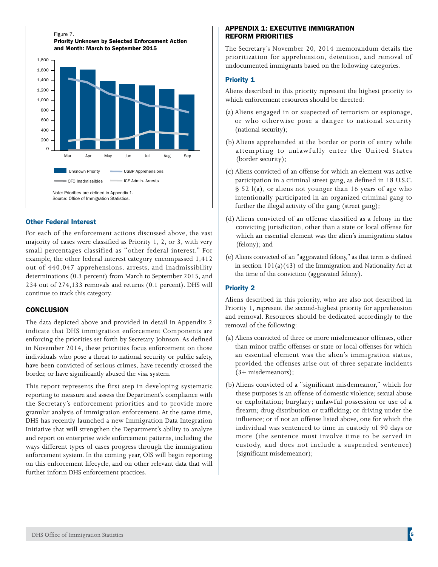

# Other Federal Interest

For each of the enforcement actions discussed above, the vast majority of cases were classified as Priority 1, 2, or 3, with very small percentages classified as "other federal interest." For example, the other federal interest category encompassed 1,412 out of 440,047 apprehensions, arrests, and inadmissibility determinations (0.3 percent) from March to September 2015, and 234 out of 274,133 removals and returns (0.1 percent). DHS will continue to track this category.

#### **CONCLUSION**

The data depicted above and provided in detail in Appendix 2 indicate that DHS immigration enforcement Components are enforcing the priorities set forth by Secretary Johnson. As defined in November 2014, these priorities focus enforcement on those individuals who pose a threat to national security or public safety, have been convicted of serious crimes, have recently crossed the border, or have significantly abused the visa system.

This report represents the first step in developing systematic reporting to measure and assess the Department's compliance with the Secretary's enforcement priorities and to provide more granular analysis of immigration enforcement. At the same time, DHS has recently launched a new Immigration Data Integration Initiative that will strengthen the Department's ability to analyze and report on enterprise wide enforcement patterns, including the ways different types of cases progress through the immigration enforcement system. In the coming year, OIS will begin reporting on this enforcement lifecycle, and on other relevant data that will further inform DHS enforcement practices.

#### APPENDIX 1: EXECUTIVE IMMIGRATION REFORM PRIORITIES

The Secretary's November 20, 2014 memorandum details the prioritization for apprehension, detention, and removal of undocumented immigrants based on the following categories.

#### Priority 1

Aliens described in this priority represent the highest priority to which enforcement resources should be directed:

- (a) Aliens engaged in or suspected of terrorism or espionage, or who otherwise pose a danger to national security (national security);
- (b) Aliens apprehended at the border or ports of entry while attempting to unlawfully enter the United States (border security);
- (c) Aliens convicted of an offense for which an element was active participation in a criminal street gang, as defined in 18 U.S.C. § 52 l(a), or aliens not younger than 16 years of age who intentionally participated in an organized criminal gang to further the illegal activity of the gang (street gang);
- (d) Aliens convicted of an offense classified as a felony in the convicting jurisdiction, other than a state or local offense for which an essential element was the alien's immigration status (felony); and
- (e) Aliens convicted of an "aggravated felony," as that term is defined in section  $101(a)(43)$  of the Immigration and Nationality Act at the time of the conviction (aggravated felony).

#### Priority 2

Aliens described in this priority, who are also not described in Priority 1, represent the second-highest priority for apprehension and removal. Resources should be dedicated accordingly to the removal of the following:

- (a) Aliens convicted of three or more misdemeanor offenses, other than minor traffic offenses or state or local offenses for which an essential element was the alien's immigration status, provided the offenses arise out of three separate incidents (3+ misdemeanors);
- (b) Aliens convicted of a "significant misdemeanor," which for these purposes is an offense of domestic violence; sexual abuse or exploitation; burglary; unlawful possession or use of a firearm; drug distribution or trafficking; or driving under the influence; or if not an offense listed above, one for which the individual was sentenced to time in custody of 90 days or more (the sentence must involve time to be served in custody, and does not include a suspended sentence) (significant misdemeanor);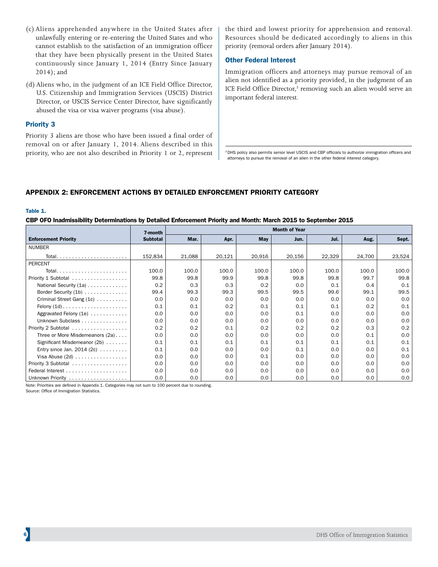- (c) Aliens apprehended anywhere in the United States after unlawfully entering or re-entering the United States and who cannot establish to the satisfaction of an immigration officer that they have been physically present in the United States continuously since January 1, 2014 (Entry Since January 2014); and
- (d) Aliens who, in the judgment of an ICE Field Office Director, U.S. Citizenship and Immigration Services (USCIS) District Director, or USCIS Service Center Director, have significantly abused the visa or visa waiver programs (visa abuse).

#### Priority 3

Priority 3 aliens are those who have been issued a final order of removal on or after January 1, 2014. Aliens described in this priority, who are not also described in Priority 1 or 2, represent the third and lowest priority for apprehension and removal. Resources should be dedicated accordingly to aliens in this priority (removal orders after January 2014).

## Other Federal Interest

Immigration officers and attorneys may pursue removal of an alien not identified as a priority provided, in the judgment of an ICE Field Office Director,<sup>3</sup> removing such an alien would serve an important federal interest.

<sup>3</sup> DHS policy also permits senior level USCIS and CBP officials to authorize immigration officers and attorneys to pursue the removal of an alien in the other federal interest category.

# APPENDIX 2: ENFORCEMENT ACTIONS BY DETAILED ENFORCEMENT PRIORITY CATEGORY

#### Table 1.

#### CBP OFO Inadmissibility Determinations by Detailed Enforcement Priority and Month: March 2015 to September 2015

|                                 | 7-month         | <b>Month of Year</b> |        |            |        |        |        |        |  |  |
|---------------------------------|-----------------|----------------------|--------|------------|--------|--------|--------|--------|--|--|
| <b>Enforcement Priority</b>     | <b>Subtotal</b> | Mar.                 | Apr.   | <b>May</b> | Jun.   | Jul.   | Aug.   | Sept.  |  |  |
| <b>NUMBER</b>                   |                 |                      |        |            |        |        |        |        |  |  |
| Total                           | 152,834         | 21,088               | 20,121 | 20,916     | 20,156 | 22,329 | 24,700 | 23,524 |  |  |
| <b>PERCENT</b>                  |                 |                      |        |            |        |        |        |        |  |  |
| Total                           | 100.0           | 100.0                | 100.0  | 100.0      | 100.0  | 100.0  | 100.0  | 100.0  |  |  |
| Priority 1 Subtotal             | 99.8            | 99.8                 | 99.9   | 99.8       | 99.8   | 99.8   | 99.7   | 99.8   |  |  |
| National Security (1a)          | 0.2             | 0.3                  | 0.3    | 0.2        | 0.0    | 0.1    | 0.4    | 0.1    |  |  |
| Border Security (1b)            | 99.4            | 99.3                 | 99.3   | 99.5       | 99.5   | 99.6   | 99.1   | 99.5   |  |  |
| Criminal Street Gang (1c)       | 0.0             | 0.0                  | 0.0    | 0.0        | 0.0    | 0.0    | 0.0    | 0.0    |  |  |
| Felony $(1d)$                   | 0.1             | 0.1                  | 0.2    | 0.1        | 0.1    | 0.1    | 0.2    | 0.1    |  |  |
| Aggravated Felony (1e)          | 0.0             | 0.0                  | 0.0    | 0.0        | 0.1    | 0.0    | 0.0    | 0.0    |  |  |
| Unknown Subclass                | 0.0             | 0.0                  | 0.0    | 0.0        | 0.0    | 0.0    | 0.0    | 0.0    |  |  |
| Priority 2 Subtotal             | 0.2             | 0.2                  | 0.1    | 0.2        | 0.2    | 0.2    | 0.3    | 0.2    |  |  |
| Three or More Misdemeanors (2a) | 0.0             | 0.0                  | 0.0    | 0.0        | 0.0    | 0.0    | 0.1    | 0.0    |  |  |
| Significant Misdemeanor (2b)    | 0.1             | 0.1                  | 0.1    | 0.1        | 0.1    | 0.1    | 0.1    | 0.1    |  |  |
| Entry since Jan. $2014(2c)$     | 0.1             | 0.0                  | 0.0    | 0.0        | 0.1    | 0.0    | 0.0    | 0.1    |  |  |
|                                 | 0.0             | 0.0                  | 0.0    | 0.1        | 0.0    | 0.0    | 0.0    | 0.0    |  |  |
| Priority 3 Subtotal             | 0.0             | 0.0                  | 0.0    | 0.0        | 0.0    | 0.0    | 0.0    | 0.0    |  |  |
|                                 | 0.0             | 0.0                  | 0.0    | 0.0        | 0.0    | 0.0    | 0.0    | 0.0    |  |  |
| Unknown Priority                | 0.0             | 0.0                  | 0.0    | 0.0        | 0.0    | 0.0    | 0.0    | 0.0    |  |  |

Note: Priorities are defined in Appendix 1. Categories may not sum to 100 percent due to rounding.

Source: Office of Immigration Statistics.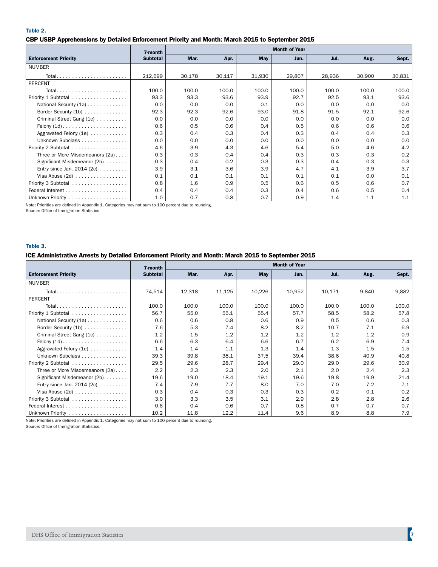Table 2.

#### CBP USBP Apprehensions by Detailed Enforcement Priority and Month: March 2015 to September 2015

|                                 | 7-month         | <b>Month of Year</b> |        |        |        |        |        |        |  |
|---------------------------------|-----------------|----------------------|--------|--------|--------|--------|--------|--------|--|
| <b>Enforcement Priority</b>     | <b>Subtotal</b> | Mar.                 | Apr.   | May    | Jun.   | Jul.   | Aug.   | Sept.  |  |
| <b>NUMBER</b>                   |                 |                      |        |        |        |        |        |        |  |
|                                 | 212,699         | 30,178               | 30,117 | 31,930 | 29,807 | 28,936 | 30,900 | 30,831 |  |
| <b>PERCENT</b>                  |                 |                      |        |        |        |        |        |        |  |
|                                 | 100.0           | 100.0                | 100.0  | 100.0  | 100.0  | 100.0  | 100.0  | 100.0  |  |
| Priority 1 Subtotal             | 93.3            | 93.3                 | 93.6   | 93.9   | 92.7   | 92.5   | 93.1   | 93.6   |  |
| National Security (1a)          | 0.0             | 0.0                  | 0.0    | 0.1    | 0.0    | 0.0    | 0.0    | 0.0    |  |
| Border Security (1b)            | 92.3            | 92.3                 | 92.6   | 93.0   | 91.8   | 91.5   | 92.1   | 92.6   |  |
| Criminal Street Gang (1c)       | 0.0             | 0.0                  | 0.0    | 0.0    | 0.0    | 0.0    | 0.0    | 0.0    |  |
| Felony $(1d)$                   | 0.6             | 0.5                  | 0.6    | 0.4    | 0.5    | 0.6    | 0.6    | 0.6    |  |
| Aggravated Felony (1e)          | 0.3             | 0.4                  | 0.3    | 0.4    | 0.3    | 0.4    | 0.4    | 0.3    |  |
| Unknown Subclass                | 0.0             | 0.0                  | 0.0    | 0.0    | 0.0    | 0.0    | 0.0    | 0.0    |  |
| Priority 2 Subtotal             | 4.6             | 3.9                  | 4.3    | 4.6    | 5.4    | 5.0    | 4.6    | 4.2    |  |
| Three or More Misdemeanors (2a) | 0.3             | 0.3                  | 0.4    | 0.4    | 0.3    | 0.3    | 0.3    | 0.2    |  |
| Significant Misdemeanor (2b)    | 0.3             | 0.4                  | 0.2    | 0.3    | 0.3    | 0.4    | 0.3    | 0.3    |  |
| Entry since Jan. $2014(2c)$     | 3.9             | 3.1                  | 3.6    | 3.9    | 4.7    | 4.1    | 3.9    | 3.7    |  |
|                                 | 0.1             | 0.1                  | 0.1    | 0.1    | 0.1    | 0.1    | 0.0    | 0.1    |  |
| Priority 3 Subtotal             | 0.8             | 1.6                  | 0.9    | 0.5    | 0.6    | 0.5    | 0.6    | 0.7    |  |
|                                 | 0.4             | 0.4                  | 0.4    | 0.3    | 0.4    | 0.6    | 0.5    | 0.4    |  |
| Unknown Priority                | 1.0             | 0.7                  | 0.8    | 0.7    | 0.9    | 1.4    | 1.1    | 1.1    |  |

Note: Priorities are defined in Appendix 1. Categories may not sum to 100 percent due to rounding. Source: Office of Immigration Statistics.

#### Table 3.

## ICE Administrative Arrests by Detailed Enforcement Priority and Month: March 2015 to September 2015

|                                            | 7-month         | <b>Month of Year</b> |        |        |        |        |       |       |  |
|--------------------------------------------|-----------------|----------------------|--------|--------|--------|--------|-------|-------|--|
| <b>Enforcement Priority</b>                | <b>Subtotal</b> | Mar.                 | Apr.   | May    | Jun.   | Jul.   | Aug.  | Sept. |  |
| <b>NUMBER</b>                              |                 |                      |        |        |        |        |       |       |  |
|                                            | 74,514          | 12,318               | 11,125 | 10,226 | 10,952 | 10,171 | 9,840 | 9,882 |  |
| <b>PERCENT</b>                             |                 |                      |        |        |        |        |       |       |  |
|                                            | 100.0           | 100.0                | 100.0  | 100.0  | 100.0  | 100.0  | 100.0 | 100.0 |  |
| Priority 1 Subtotal                        | 56.7            | 55.0                 | 55.1   | 55.4   | 57.7   | 58.5   | 58.2  | 57.8  |  |
| National Security (1a)                     | 0.6             | 0.6                  | 0.8    | 0.6    | 0.9    | 0.5    | 0.6   | 0.3   |  |
| Border Security (1b)                       | 7.6             | 5.3                  | 7.4    | 8.2    | 8.2    | 10.7   | 7.1   | 6.9   |  |
| Criminal Street Gang (1c)                  | 1.2             | 1.5                  | 1.2    | 1.2    | 1.2    | 1.2    | 1.2   | 0.9   |  |
| Felony $(1d)$                              | 6.6             | 6.3                  | 6.4    | 6.6    | 6.7    | 6.2    | 6.9   | 7.4   |  |
| Aggravated Felony $(1e)$                   | 1.4             | 1.4                  | 1.1    | 1.3    | 1.4    | 1.3    | 1.5   | 1.5   |  |
| Unknown Subclass                           | 39.3            | 39.8                 | 38.1   | 37.5   | 39.4   | 38.6   | 40.9  | 40.8  |  |
| Priority 2 Subtotal                        | 29.5            | 29.6                 | 28.7   | 29.4   | 29.0   | 29.0   | 29.6  | 30.9  |  |
| Three or More Misdemeanors (2a)            | 2.2             | 2.3                  | 2.3    | 2.0    | 2.1    | 2.0    | 2.4   | 2.3   |  |
| Significant Misdemeanor (2b)               | 19.6            | 19.0                 | 18.4   | 19.1   | 19.6   | 19.8   | 19.9  | 21.4  |  |
| Entry since Jan. 2014 (2c) $\ldots \ldots$ | 7.4             | 7.9                  | 7.7    | 8.0    | 7.0    | 7.0    | 7.2   | 7.1   |  |
| Visa Abuse $(2d)$                          | 0.3             | 0.4                  | 0.3    | 0.3    | 0.3    | 0.2    | 0.1   | 0.2   |  |
| Priority 3 Subtotal                        | 3.0             | 3.3                  | 3.5    | 3.1    | 2.9    | 2.8    | 2.8   | 2.6   |  |
|                                            | 0.6             | 0.4                  | 0.6    | 0.7    | 0.8    | 0.7    | 0.7   | 0.7   |  |
| Unknown Priority                           | 10.2            | 11.8                 | 12.2   | 11.4   | 9.6    | 8.9    | 8.8   | 7.9   |  |

Note: Priorities are defined in Appendix 1. Categories may not sum to 100 percent due to rounding.

Source: Office of Immigration Statistics.